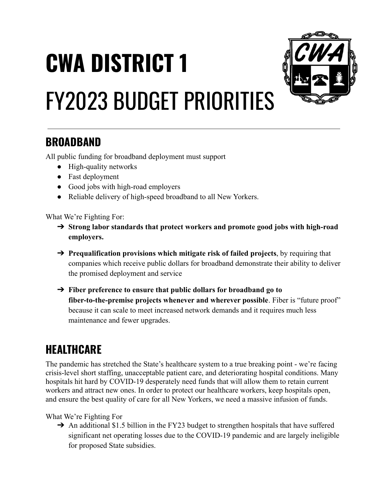## **CWA DISTRICT 1** FY2023 BUDGET PRIORITIES



## **BROADBAND**

All public funding for broadband deployment must support

- High-quality networks
- Fast deployment
- Good jobs with high-road employers
- Reliable delivery of high-speed broadband to all New Yorkers.

What We're Fighting For:

- ➔ **Strong labor standards that protect workers and promote good jobs with high-road employers.**
- ➔ **Prequalification provisions which mitigate risk of failed projects**, by requiring that companies which receive public dollars for broadband demonstrate their ability to deliver the promised deployment and service
- ➔ **Fiber preference to ensure that public dollars for broadband go to fiber-to-the-premise projects whenever and wherever possible**. Fiber is "future proof" because it can scale to meet increased network demands and it requires much less maintenance and fewer upgrades.

## **HEALTHCARE**

The pandemic has stretched the State's healthcare system to a true breaking point - we're facing crisis-level short staffing, unacceptable patient care, and deteriorating hospital conditions. Many hospitals hit hard by COVID-19 desperately need funds that will allow them to retain current workers and attract new ones. In order to protect our healthcare workers, keep hospitals open, and ensure the best quality of care for all New Yorkers, we need a massive infusion of funds.

What We're Fighting For

→ An additional \$1.5 billion in the FY23 budget to strengthen hospitals that have suffered significant net operating losses due to the COVID-19 pandemic and are largely ineligible for proposed State subsidies.